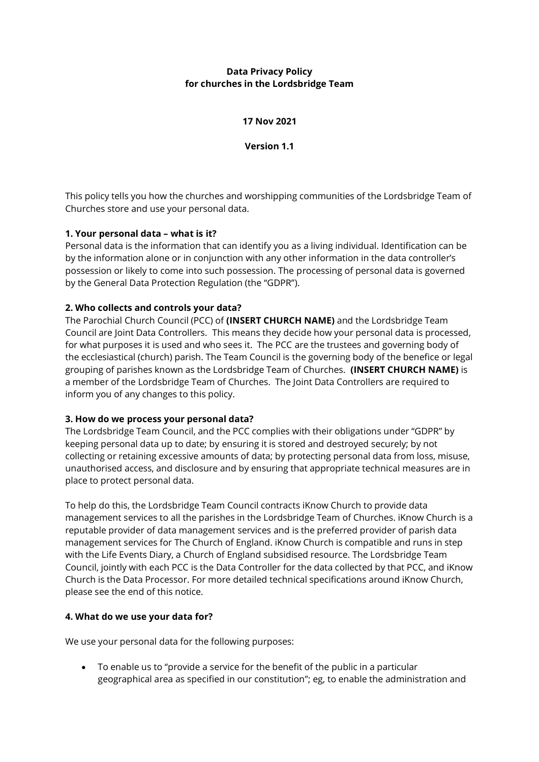### **Data Privacy Policy for churches in the Lordsbridge Team**

#### **17 Nov 2021**

**Version 1.1**

This policy tells you how the churches and worshipping communities of the Lordsbridge Team of Churches store and use your personal data.

### **1. Your personal data – what is it?**

Personal data is the information that can identify you as a living individual. Identification can be by the information alone or in conjunction with any other information in the data controller's possession or likely to come into such possession. The processing of personal data is governed by the General Data Protection Regulation (the "GDPR").

### **2. Who collects and controls your data?**

The Parochial Church Council (PCC) of **(INSERT CHURCH NAME)** and the Lordsbridge Team Council are Joint Data Controllers. This means they decide how your personal data is processed, for what purposes it is used and who sees it. The PCC are the trustees and governing body of the ecclesiastical (church) parish. The Team Council is the governing body of the benefice or legal grouping of parishes known as the Lordsbridge Team of Churches. **(INSERT CHURCH NAME)** is a member of the Lordsbridge Team of Churches. The Joint Data Controllers are required to inform you of any changes to this policy.

### **3. How do we process your personal data?**

The Lordsbridge Team Council, and the PCC complies with their obligations under "GDPR" by keeping personal data up to date; by ensuring it is stored and destroyed securely; by not collecting or retaining excessive amounts of data; by protecting personal data from loss, misuse, unauthorised access, and disclosure and by ensuring that appropriate technical measures are in place to protect personal data.

To help do this, the Lordsbridge Team Council contracts iKnow Church to provide data management services to all the parishes in the Lordsbridge Team of Churches. iKnow Church is a reputable provider of data management services and is the preferred provider of parish data management services for The Church of England. iKnow Church is compatible and runs in step with the Life Events Diary, a Church of England subsidised resource. The Lordsbridge Team Council, jointly with each PCC is the Data Controller for the data collected by that PCC, and iKnow Church is the Data Processor. For more detailed technical specifications around iKnow Church, please see the end of this notice.

### **4. What do we use your data for?**

We use your personal data for the following purposes:

• To enable us to "provide a service for the benefit of the public in a particular geographical area as specified in our constitution"; eg, to enable the administration and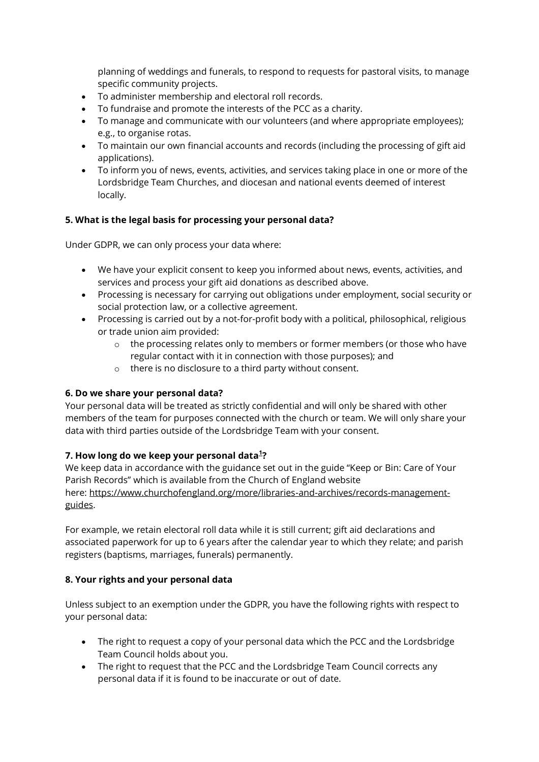planning of weddings and funerals, to respond to requests for pastoral visits, to manage specific community projects.

- To administer membership and electoral roll records.
- To fundraise and promote the interests of the PCC as a charity.
- To manage and communicate with our volunteers (and where appropriate employees); e.g., to organise rotas.
- To maintain our own financial accounts and records (including the processing of gift aid applications).
- To inform you of news, events, activities, and services taking place in one or more of the Lordsbridge Team Churches, and diocesan and national events deemed of interest locally.

## **5. What is the legal basis for processing your personal data?**

Under GDPR, we can only process your data where:

- We have your explicit consent to keep you informed about news, events, activities, and services and process your gift aid donations as described above.
- Processing is necessary for carrying out obligations under employment, social security or social protection law, or a collective agreement.
- Processing is carried out by a not-for-profit body with a political, philosophical, religious or trade union aim provided:
	- $\circ$  the processing relates only to members or former members (or those who have regular contact with it in connection with those purposes); and
	- o there is no disclosure to a third party without consent.

### **6. Do we share your personal data?**

Your personal data will be treated as strictly confidential and will only be shared with other members of the team for purposes connected with the church or team. We will only share your data with third parties outside of the Lordsbridge Team with your consent.

### **7. How long do we keep your personal data[1](http://lordsbridge.org/dataprivacynotice/#footnote) ?**

We keep data in accordance with the guidance set out in the guide "Keep or Bin: Care of Your Parish Records" which is available from the Church of England website here: [https://www.churchofengland.org/more/libraries-and-archives/records-management](https://www.churchofengland.org/more/libraries-and-archives/records-management-guides)[guides.](https://www.churchofengland.org/more/libraries-and-archives/records-management-guides)

For example, we retain electoral roll data while it is still current; gift aid declarations and associated paperwork for up to 6 years after the calendar year to which they relate; and parish registers (baptisms, marriages, funerals) permanently.

### **8. Your rights and your personal data**

Unless subject to an exemption under the GDPR, you have the following rights with respect to your personal data:

- The right to request a copy of your personal data which the PCC and the Lordsbridge Team Council holds about you.
- The right to request that the PCC and the Lordsbridge Team Council corrects any personal data if it is found to be inaccurate or out of date.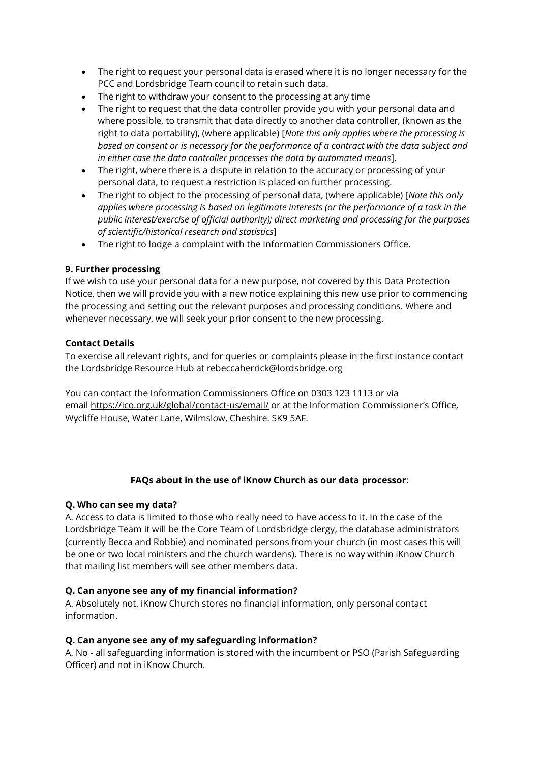- The right to request your personal data is erased where it is no longer necessary for the PCC and Lordsbridge Team council to retain such data.
- The right to withdraw your consent to the processing at any time
- The right to request that the data controller provide you with your personal data and where possible, to transmit that data directly to another data controller, (known as the right to data portability), (where applicable) [*Note this only applies where the processing is based on consent or is necessary for the performance of a contract with the data subject and in either case the data controller processes the data by automated means*].
- The right, where there is a dispute in relation to the accuracy or processing of your personal data, to request a restriction is placed on further processing.
- The right to object to the processing of personal data, (where applicable) [*Note this only applies where processing is based on legitimate interests (or the performance of a task in the public interest/exercise of official authority); direct marketing and processing for the purposes of scientific/historical research and statistics*]
- The right to lodge a complaint with the Information Commissioners Office.

### **9. Further processing**

If we wish to use your personal data for a new purpose, not covered by this Data Protection Notice, then we will provide you with a new notice explaining this new use prior to commencing the processing and setting out the relevant purposes and processing conditions. Where and whenever necessary, we will seek your prior consent to the new processing.

## **Contact Details**

To exercise all relevant rights, and for queries or complaints please in the first instance contact the Lordsbridge Resource Hub at [rebeccaherrick@lordsbridge.org](mailto:rebeccaherrick@lordsbridge.org)

You can contact the Information Commissioners Office on 0303 123 1113 or via email <https://ico.org.uk/global/contact-us/email/> or at the Information Commissioner's Office, Wycliffe House, Water Lane, Wilmslow, Cheshire. SK9 5AF.

# **FAQs about in the use of iKnow Church as our data processor**:

### **Q. Who can see my data?**

A. Access to data is limited to those who really need to have access to it. In the case of the Lordsbridge Team it will be the Core Team of Lordsbridge clergy, the database administrators (currently Becca and Robbie) and nominated persons from your church (in most cases this will be one or two local ministers and the church wardens). There is no way within iKnow Church that mailing list members will see other members data.

# **Q. Can anyone see any of my financial information?**

A. Absolutely not. iKnow Church stores no financial information, only personal contact information.

### **Q. Can anyone see any of my safeguarding information?**

A. No - all safeguarding information is stored with the incumbent or PSO (Parish Safeguarding Officer) and not in iKnow Church.